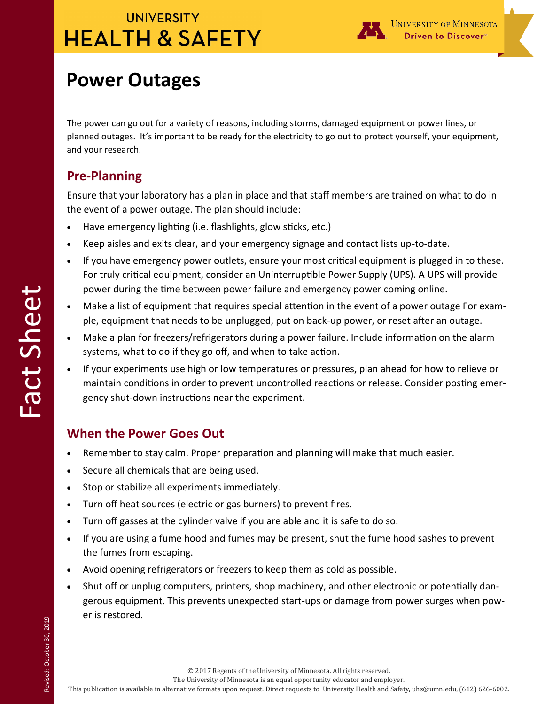## **UNIVERSITY HEALTH & SAFETY**



# **Power Outages**

The power can go out for a variety of reasons, including storms, damaged equipment or power lines, or planned outages. It's important to be ready for the electricity to go out to protect yourself, your equipment, and your research.

### **Pre-Planning**

Ensure that your laboratory has a plan in place and that staff members are trained on what to do in the event of a power outage. The plan should include:

- Have emergency lighting (i.e. flashlights, glow sticks, etc.)
- Keep aisles and exits clear, and your emergency signage and contact lists up-to-date.
- If you have emergency power outlets, ensure your most critical equipment is plugged in to these. For truly critical equipment, consider an Uninterruptible Power Supply (UPS). A UPS will provide power during the time between power failure and emergency power coming online.
- Make a list of equipment that requires special attention in the event of a power outage For example, equipment that needs to be unplugged, put on back-up power, or reset after an outage.
- Make a plan for freezers/refrigerators during a power failure. Include information on the alarm systems, what to do if they go off, and when to take action.
- If your experiments use high or low temperatures or pressures, plan ahead for how to relieve or maintain conditions in order to prevent uncontrolled reactions or release. Consider posting emergency shut-down instructions near the experiment.

### **When the Power Goes Out**

- Remember to stay calm. Proper preparation and planning will make that much easier.
- Secure all chemicals that are being used.
- Stop or stabilize all experiments immediately.
- Turn off heat sources (electric or gas burners) to prevent fires.
- Turn off gasses at the cylinder valve if you are able and it is safe to do so.
- If you are using a fume hood and fumes may be present, shut the fume hood sashes to prevent the fumes from escaping.
- Avoid opening refrigerators or freezers to keep them as cold as possible.
- Shut off or unplug computers, printers, shop machinery, and other electronic or potentially dangerous equipment. This prevents unexpected start-ups or damage from power surges when power is restored.

Revised: October 30, 2019 Revised: October 30, 2019

The University of Minnesota is an equal opportunity educator and employer.

This publication is available in alternative formats upon request. Direct requests to University Health and Safety, uhs@umn.edu, (612) 626-6002.